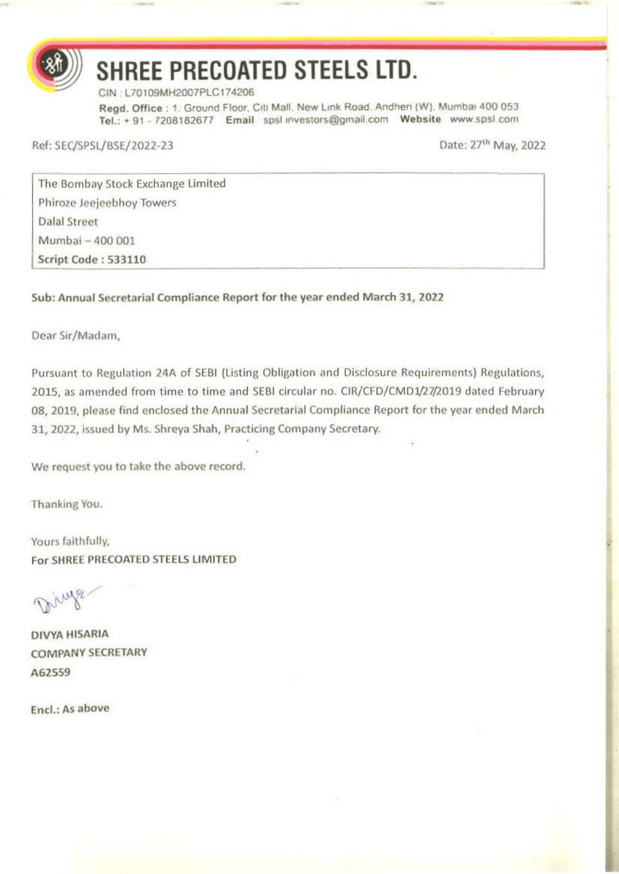

# **SHREE PRECOATED STEELS LTD.**

- -

CIN L70109MH2007PLC174206

Regd. Office : 1. Ground Floor. Citi Mall. New Link Road. Andheri (W). Mumbai 400 053 Tel.: + 91 - 7208182677 Email spsl investors@gmail.com Website www.spsl.com

Ref: SEC/SPSL/BSE/2022-23

Date: 27<sup>th</sup> May, 2022

The Bombay Stock Exchange Limited Phiroze Jeejeebhoy Towers Dalal Street Mumbai - 400 001 Script Code : S33110

Sub: Annual Secretarial Compliance Report for the year ended March 31, 2022

Dear Sir/Madam,

Pursuant to Regulation 24A of SEBI (Listing Obligation and Disclosure Requirements) Regulations, 2015, as amended from time to time and SEBI circular no. CIR/CFD/CMD1/27/2019 dated February 08, 2019, please find enclosed the Annual Secretarial Compliance Report for the year ended March 31, 2022, issued by Ms. Shreya Shah, Practicing Company Secretary.

We request you to take the above record.

Thanking You.

Yours faithfully, For SHREE PRECOATED STEELS LIMITED

inge

DIVYA HISARIA COMPANY SECRETARY A62559

Encl.: As above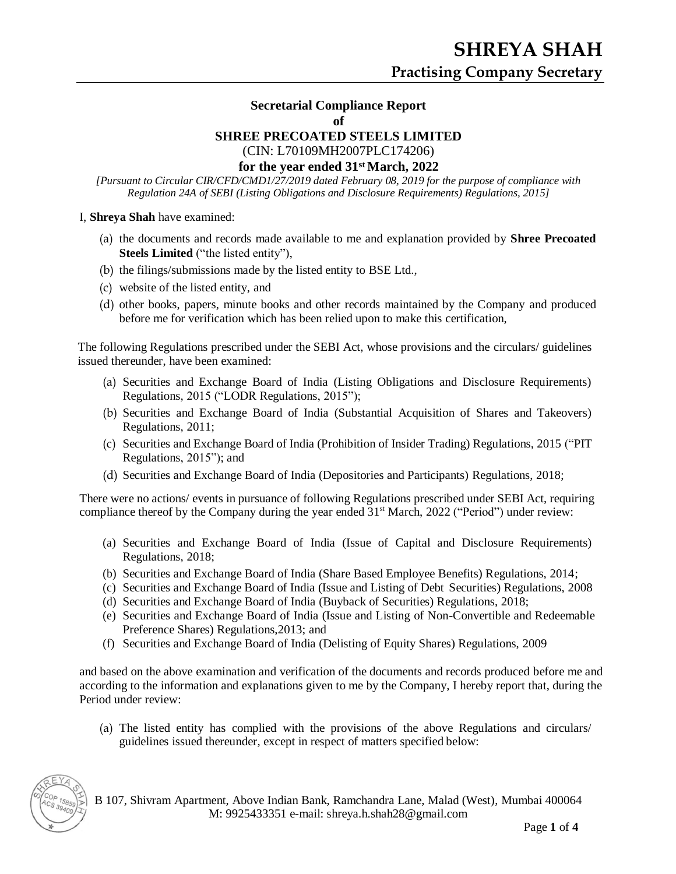### **Secretarial Compliance Report**

**of**

#### **SHREE PRECOATED STEELS LIMITED**

(CIN: L70109MH2007PLC174206)

#### **for the year ended 31st March, 2022**

*[Pursuant to Circular CIR/CFD/CMD1/27/2019 dated February 08, 2019 for the purpose of compliance with Regulation 24A of SEBI (Listing Obligations and Disclosure Requirements) Regulations, 2015]*

#### I, **Shreya Shah** have examined:

- (a) the documents and records made available to me and explanation provided by **Shree Precoated Steels Limited** ("the listed entity"),
- (b) the filings/submissions made by the listed entity to BSE Ltd.,
- (c) website of the listed entity, and
- (d) other books, papers, minute books and other records maintained by the Company and produced before me for verification which has been relied upon to make this certification,

The following Regulations prescribed under the SEBI Act, whose provisions and the circulars/ guidelines issued thereunder, have been examined:

- (a) Securities and Exchange Board of India (Listing Obligations and Disclosure Requirements) Regulations, 2015 ("LODR Regulations, 2015");
- (b) Securities and Exchange Board of India (Substantial Acquisition of Shares and Takeovers) Regulations, 2011;
- (c) Securities and Exchange Board of India (Prohibition of Insider Trading) Regulations, 2015 ("PIT Regulations, 2015"); and
- (d) Securities and Exchange Board of India (Depositories and Participants) Regulations, 2018;

There were no actions/ events in pursuance of following Regulations prescribed under SEBI Act, requiring compliance thereof by the Company during the year ended  $31<sup>st</sup> March, 2022$  ("Period") under review:

- (a) Securities and Exchange Board of India (Issue of Capital and Disclosure Requirements) Regulations, 2018;
- (b) Securities and Exchange Board of India (Share Based Employee Benefits) Regulations, 2014;
- (c) Securities and Exchange Board of India (Issue and Listing of Debt Securities) Regulations, 2008
- (d) Securities and Exchange Board of India (Buyback of Securities) Regulations, 2018;
- (e) Securities and Exchange Board of India (Issue and Listing of Non-Convertible and Redeemable Preference Shares) Regulations,2013; and
- (f) Securities and Exchange Board of India (Delisting of Equity Shares) Regulations, 2009

and based on the above examination and verification of the documents and records produced before me and according to the information and explanations given to me by the Company, I hereby report that, during the Period under review:

(a) The listed entity has complied with the provisions of the above Regulations and circulars/ guidelines issued thereunder, except in respect of matters specified below:



B 107, Shivram Apartment, Above Indian Bank, Ramchandra Lane, Malad (West), Mumbai 400064 M: 9925433351 e-mail: [shreya.h.shah28@gmail.com](mailto:shreya.h.shah28@gmail.com)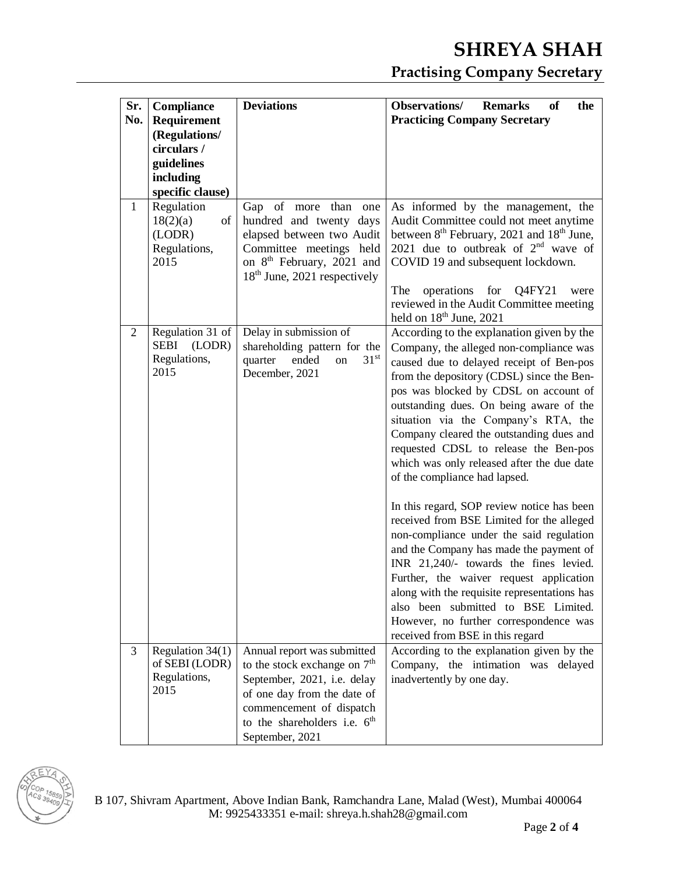## **SHREYA SHAH Practising Company Secretary**

| Sr.<br>No.     | Compliance<br>Requirement<br>(Regulations/<br>circulars /<br>guidelines<br>including<br>specific clause) | <b>Deviations</b>                                                                                                                                                                                            | <b>Observations/</b><br><b>Remarks</b><br>of<br>the<br><b>Practicing Company Secretary</b>                                                                                                                                                                                                                                                                                                                                                                                                                                                                                                                                                                                                                                                                                                                                                                                                                                |
|----------------|----------------------------------------------------------------------------------------------------------|--------------------------------------------------------------------------------------------------------------------------------------------------------------------------------------------------------------|---------------------------------------------------------------------------------------------------------------------------------------------------------------------------------------------------------------------------------------------------------------------------------------------------------------------------------------------------------------------------------------------------------------------------------------------------------------------------------------------------------------------------------------------------------------------------------------------------------------------------------------------------------------------------------------------------------------------------------------------------------------------------------------------------------------------------------------------------------------------------------------------------------------------------|
| 1              | Regulation<br>18(2)(a)<br>of<br>(LODR)<br>Regulations,<br>2015                                           | Gap of more than<br>one<br>hundred and twenty days<br>elapsed between two Audit<br>Committee meetings held<br>on 8 <sup>th</sup> February, 2021 and<br>18 <sup>th</sup> June, 2021 respectively              | As informed by the management, the<br>Audit Committee could not meet anytime<br>between 8 <sup>th</sup> February, 2021 and 18 <sup>th</sup> June,<br>2021 due to outbreak of $2nd$ wave of<br>COVID 19 and subsequent lockdown.<br>operations<br>The<br>for<br>Q4FY21<br>were<br>reviewed in the Audit Committee meeting<br>held on 18 <sup>th</sup> June, 2021                                                                                                                                                                                                                                                                                                                                                                                                                                                                                                                                                           |
| $\overline{2}$ | Regulation 31 of<br><b>SEBI</b><br>(LODR)<br>Regulations,<br>2015                                        | Delay in submission of<br>shareholding pattern for the<br>31 <sup>st</sup><br>ended<br>quarter<br>on<br>December, 2021                                                                                       | According to the explanation given by the<br>Company, the alleged non-compliance was<br>caused due to delayed receipt of Ben-pos<br>from the depository (CDSL) since the Ben-<br>pos was blocked by CDSL on account of<br>outstanding dues. On being aware of the<br>situation via the Company's RTA, the<br>Company cleared the outstanding dues and<br>requested CDSL to release the Ben-pos<br>which was only released after the due date<br>of the compliance had lapsed.<br>In this regard, SOP review notice has been<br>received from BSE Limited for the alleged<br>non-compliance under the said regulation<br>and the Company has made the payment of<br>INR 21,240/- towards the fines levied.<br>Further, the waiver request application<br>along with the requisite representations has<br>also been submitted to BSE Limited.<br>However, no further correspondence was<br>received from BSE in this regard |
| 3              | Regulation 34(1)<br>of SEBI (LODR)<br>Regulations,<br>2015                                               | Annual report was submitted<br>to the stock exchange on $7th$<br>September, 2021, i.e. delay<br>of one day from the date of<br>commencement of dispatch<br>to the shareholders i.e. $6th$<br>September, 2021 | According to the explanation given by the<br>Company, the intimation was delayed<br>inadvertently by one day.                                                                                                                                                                                                                                                                                                                                                                                                                                                                                                                                                                                                                                                                                                                                                                                                             |

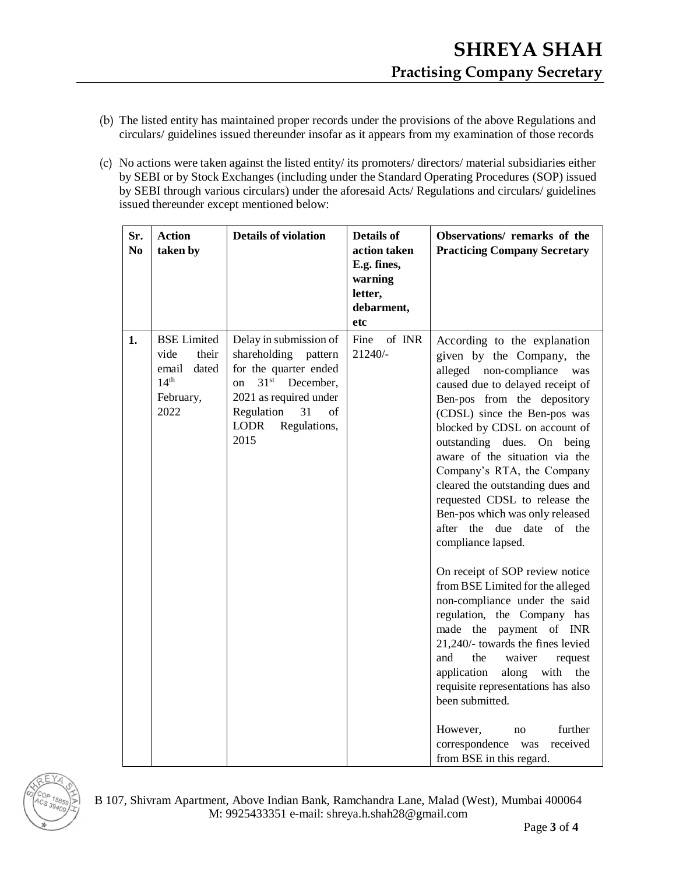- (b) The listed entity has maintained proper records under the provisions of the above Regulations and circulars/ guidelines issued thereunder insofar as it appears from my examination of those records
- (c) No actions were taken against the listed entity/ its promoters/ directors/ material subsidiaries either by SEBI or by Stock Exchanges (including under the Standard Operating Procedures (SOP) issued by SEBI through various circulars) under the aforesaid Acts/ Regulations and circulars/ guidelines issued thereunder except mentioned below:

| Sr.<br>N <sub>0</sub> | <b>Action</b><br>taken by                                                                      | <b>Details of violation</b>                                                                                                                                                                                             | <b>Details of</b><br>action taken<br>E.g. fines,<br>warning<br>letter,<br>debarment,<br>etc | Observations/remarks of the<br><b>Practicing Company Secretary</b>                                                                                                                                                                                                                                                                                                                                                                                                                                                                                                                                                                                                                                                                                                                                                                                                                                                                       |
|-----------------------|------------------------------------------------------------------------------------------------|-------------------------------------------------------------------------------------------------------------------------------------------------------------------------------------------------------------------------|---------------------------------------------------------------------------------------------|------------------------------------------------------------------------------------------------------------------------------------------------------------------------------------------------------------------------------------------------------------------------------------------------------------------------------------------------------------------------------------------------------------------------------------------------------------------------------------------------------------------------------------------------------------------------------------------------------------------------------------------------------------------------------------------------------------------------------------------------------------------------------------------------------------------------------------------------------------------------------------------------------------------------------------------|
| 1.                    | <b>BSE</b> Limited<br>vide<br>their<br>email<br>dated<br>14 <sup>th</sup><br>February,<br>2022 | Delay in submission of<br>shareholding<br>pattern<br>for the quarter ended<br>31 <sup>st</sup><br>December,<br><sub>on</sub><br>2021 as required under<br>Regulation<br>31<br>of<br><b>LODR</b><br>Regulations,<br>2015 | Fine<br>of INR<br>21240/-                                                                   | According to the explanation<br>given by the Company, the<br>alleged non-compliance<br>was<br>caused due to delayed receipt of<br>Ben-pos from the depository<br>(CDSL) since the Ben-pos was<br>blocked by CDSL on account of<br>outstanding dues. On<br>being<br>aware of the situation via the<br>Company's RTA, the Company<br>cleared the outstanding dues and<br>requested CDSL to release the<br>Ben-pos which was only released<br>after the<br>due date<br>of the<br>compliance lapsed.<br>On receipt of SOP review notice<br>from BSE Limited for the alleged<br>non-compliance under the said<br>regulation, the Company has<br>made the payment of INR<br>21,240/- towards the fines levied<br>and<br>the<br>waiver<br>request<br>application<br>along<br>with<br>the<br>requisite representations has also<br>been submitted.<br>further<br>However,<br>no<br>correspondence<br>received<br>was<br>from BSE in this regard. |